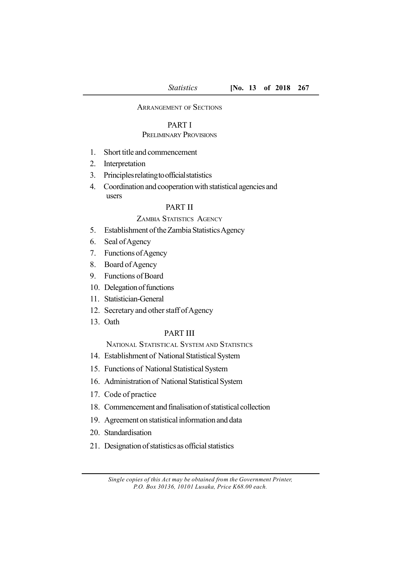ARRANGEMENT OF SECTIONS

## PART I

## PRELIMINARY PROVISIONS

- 1. Short title and commencement
- 2. Interpretation
- 3. Principlesrelatingtoofficialstatistics
- 4. Coordination and cooperationwith statistical agencies and users

## PART II

### ZAMBIA STATISTICS AGENCY

- 5. Establishment of the Zambia Statistics Agency
- 6. Seal ofAgency
- 7. Functions ofAgency
- 8. Board of Agency
- 9. Functions of Board
- 10. Delegation of functions
- 11. Statistician-General
- 12. Secretary and other staff of Agency
- 13. Oath

## PART III

NATIONAL STATISTICAL SYSTEM AND STATISTICS

- 14. Establishment of National Statistical System
- 15. Functions of National Statistical System
- 16. Administration of National Statistical System
- 17. Code of practice
- 18. Commencement andfinalisationof statistical collection
- 19. Agreement on statistical information and data
- 20. Standardisation
- 21. Designation of statistics as official statistics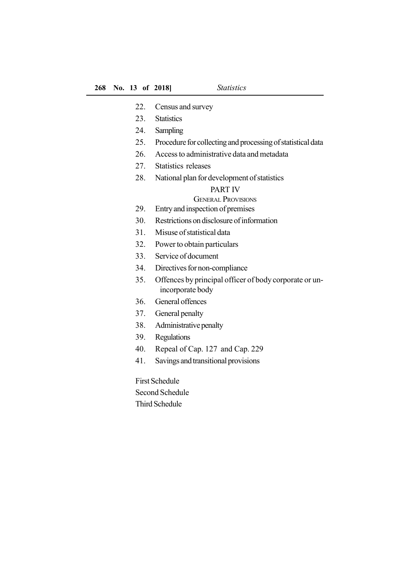- 22. Census and survey
- 23. Statistics
- 24. Sampling
- 25. Procedure for collecting and processing of statistical data
- 26. Access to administrative data and metadata
- 27. Statistics releases
- 28. National plan for development of statistics

# PART IV

# GENERAL PROVISIONS

- 29. Entryand inspection of premises
- 30. Restrictions on disclosure of information
- 31. Misuse of statistical data
- 32. Power to obtain particulars
- 33. Service of document
- 34. Directives for non-compliance
- 35. Offences by principal officer of body corporate or unincorporate body
- 36. General offences
- 37. General penalty
- 38. Administrative penalty
- 39. Regulations
- 40. Repeal of Cap. 127 and Cap. 229
- 41. Savings andtransitional provisions

First Schedule Second Schedule Third Schedule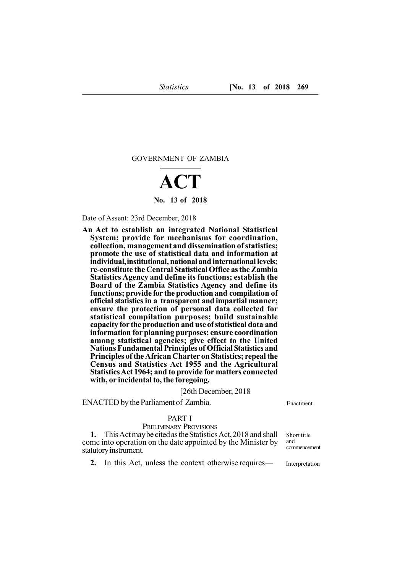#### GOVERNMENT OF ZAMBIA

# **ACT No. 13 of 2018**

Date of Assent: 23rd December, 2018

**An Act to establish an integrated National Statistical System; provide for mechanisms for coordination, collection, management and dissemination of statistics; promote the use of statistical data and information at individual,institutional, national and international levels; re-constitute the Central Statistical Office as the Zambia Statistics Agency and define its functions; establish the Board of the Zambia Statistics Agency and define its functions; provide for the production and compilation of official statistics in a transparent and impartial manner; ensure the protection of personal data collected for statistical compilation purposes; build sustainable capacity for the production and use of statistical data and information for planning purposes; ensure coordination among statistical agencies; give effect to the United Nations Fundamental Principles of Official Statistics and Principles of the African Charter on Statistics; repeal the Census and Statistics Act 1955 and the Agricultural StatisticsAct 1964; and to provide for matters connected with, or incidental to, the foregoing.**

#### [26th December, 2018

ENACTED by the Parliament of Zambia.

#### PART I

PRELIMINARY PROVISIONS

**1.** ThisActmaybe citedastheStatisticsAct,2018 and shall come into operation on the date appointed by the Minister by statutory instrument. Short title and commencement

**2.** In this Act, unless the context otherwise requires— Interpretation

Enactment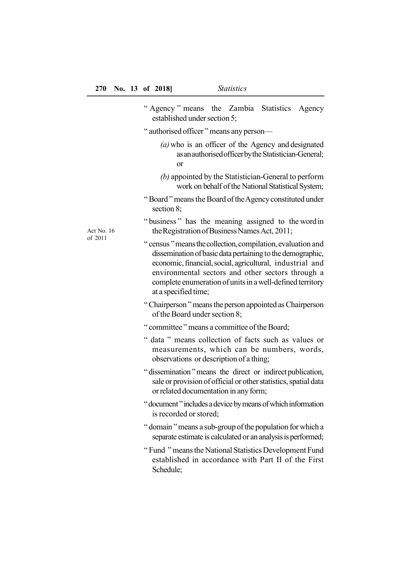|                              | "Agency" means the Zambia Statistics Agency<br>established under section 5;                                                                                                                                                                                                                                                     |
|------------------------------|---------------------------------------------------------------------------------------------------------------------------------------------------------------------------------------------------------------------------------------------------------------------------------------------------------------------------------|
|                              | " authorised officer " means any person-                                                                                                                                                                                                                                                                                        |
|                              | $(a)$ who is an officer of the Agency and designated<br>as an authorised officer by the Statistician-General;<br>or                                                                                                                                                                                                             |
| <b>Act No. 16</b><br>of 2011 | (b) appointed by the Statistician-General to perform<br>work on behalf of the National Statistical System;                                                                                                                                                                                                                      |
|                              | "Board" means the Board of the Agency constituted under<br>section 8;                                                                                                                                                                                                                                                           |
|                              | "business" has the meaning assigned to the word in<br>the Registration of Business Names Act, 2011;                                                                                                                                                                                                                             |
|                              | "census" means the collection, compilation, evaluation and<br>dissemination of basic data pertaining to the demographic,<br>economic, financial, social, agricultural, industrial and<br>environmental sectors and other sectors through a<br>complete enumeration of units in a well-defined territory<br>at a specified time; |
|                              | "Chairperson" means the person appointed as Chairperson<br>of the Board under section 8;                                                                                                                                                                                                                                        |
|                              | " committee " means a committee of the Board;                                                                                                                                                                                                                                                                                   |
|                              | " data " means collection of facts such as values or<br>measurements, which can be numbers, words,<br>observations or description of a thing;                                                                                                                                                                                   |
|                              | "dissemination" means the direct or indirect publication,<br>sale or provision of official or other statistics, spatial data<br>or related documentation in any form;                                                                                                                                                           |
|                              | "document" includes a device by means of which information<br>is recorded or stored;                                                                                                                                                                                                                                            |
|                              | "domain" means a sub-group of the population for which a<br>separate estimate is calculated or an analysis is performed;                                                                                                                                                                                                        |
|                              | "Fund" means the National Statistics Development Fund<br>established in accordance with Part II of the First<br>Schedule;                                                                                                                                                                                                       |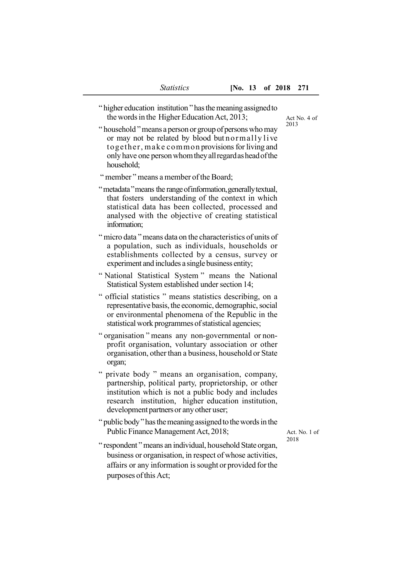Act No. 4 of 2013

" higher education institution " has the meaning assigned to the words in the Higher Education Act, 2013;

" household " means a person or group of persons who may or may not be related by blood but normally live together, make common provisions for living and only have one person whom they all regard as head of the household;

" member " means a member of the Board;

"metadata" means the range of information, generally textual, that fosters understanding of the context in which statistical data has been collected, processed and analysed with the objective of creating statistical information;

- " micro data " means data on the characteristics of units of a population, such as individuals, households or establishments collected by a census, survey or experiment and includes a single business entity;
- " National Statistical System " means the National Statistical System established under section 14;
- " official statistics " means statistics describing, on a representative basis, the economic, demographic, social or environmental phenomena of the Republic in the statistical work programmes of statistical agencies;
- organisation " means any non-governmental or nonprofit organisation, voluntary association or other organisation, other than a business, household or State organ;
- " private body " means an organisation, company, partnership, political party, proprietorship, or other institution which is not a public body and includes research institution, higher education institution, development partners or any other user;
- " public body" has the meaning assigned to the words in the Public Finance Management Act, 2018;

Act. No. 1 of 2018

" respondent " means an individual, household State organ, business or organisation, in respect of whose activities, affairs or any information is sought or provided for the purposes of this Act;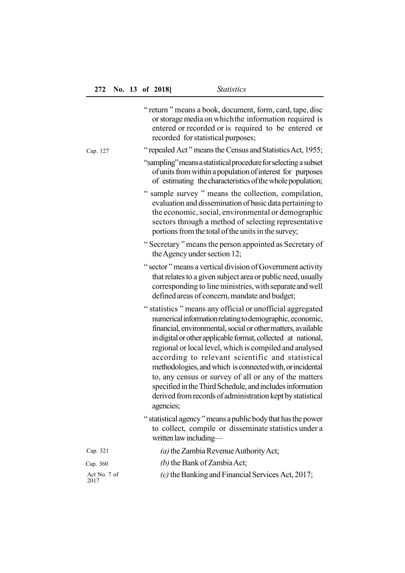|                      | "return" means a book, document, form, card, tape, disc<br>or storage media on which the information required is<br>entered or recorded or is required to be entered or<br>recorded for statistical purposes;                                                                                                                                                                                                                                                                                                                                                                                                                                    |
|----------------------|--------------------------------------------------------------------------------------------------------------------------------------------------------------------------------------------------------------------------------------------------------------------------------------------------------------------------------------------------------------------------------------------------------------------------------------------------------------------------------------------------------------------------------------------------------------------------------------------------------------------------------------------------|
| Cap. 127             | "repealed Act" means the Census and Statistics Act, 1955;                                                                                                                                                                                                                                                                                                                                                                                                                                                                                                                                                                                        |
|                      | "sampling" means a statistical procedure for selecting a subset<br>of units from within a population of interest for purposes<br>of estimating the characteristics of the whole population;                                                                                                                                                                                                                                                                                                                                                                                                                                                      |
|                      | $\boldsymbol{\varsigma}$ $\boldsymbol{\varsigma}$<br>sample survey " means the collection, compilation,<br>evaluation and dissemination of basic data pertaining to<br>the economic, social, environmental or demographic<br>sectors through a method of selecting representative<br>portions from the total of the units in the survey;                                                                                                                                                                                                                                                                                                         |
|                      | "Secretary" means the person appointed as Secretary of<br>the Agency under section 12;                                                                                                                                                                                                                                                                                                                                                                                                                                                                                                                                                           |
|                      | " sector " means a vertical division of Government activity<br>that relates to a given subject area or public need, usually<br>corresponding to line ministries, with separate and well<br>defined areas of concern, mandate and budget;                                                                                                                                                                                                                                                                                                                                                                                                         |
|                      | statistics " means any official or unofficial aggregated<br>$\epsilon$<br>numerical information relating to demographic, economic,<br>financial, environmental, social or other matters, available<br>in digital or other applicable format, collected at national,<br>regional or local level, which is compiled and analysed<br>according to relevant scientific and statistical<br>methodologies, and which is connected with, or incidental<br>to, any census or survey of all or any of the matters<br>specified in the Third Schedule, and includes information<br>derived from records of administration kept by statistical<br>agencies; |
|                      | " statistical agency" means a public body that has the power<br>to collect, compile or disseminate statistics under a<br>written law including-                                                                                                                                                                                                                                                                                                                                                                                                                                                                                                  |
| Cap. 321             | (a) the Zambia Revenue Authority Act;                                                                                                                                                                                                                                                                                                                                                                                                                                                                                                                                                                                                            |
| Cap. 360             | (b) the Bank of Zambia Act;                                                                                                                                                                                                                                                                                                                                                                                                                                                                                                                                                                                                                      |
| Act No. 7 of<br>2017 | $(c)$ the Banking and Financial Services Act, 2017;                                                                                                                                                                                                                                                                                                                                                                                                                                                                                                                                                                                              |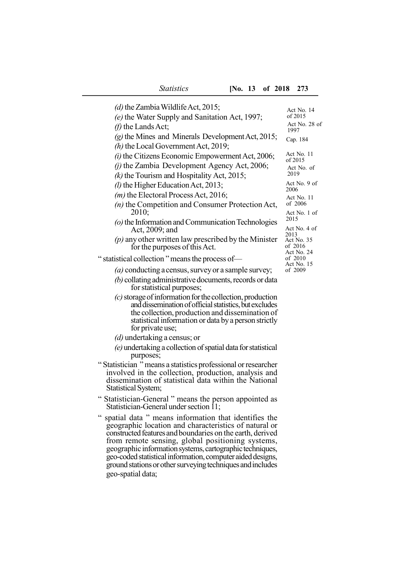| <b>Statistics</b>                                                                                                                                                                                                                                                                                                                                                                                                                                                                                                                                                                                                                                                                                                                                                                                                                                                                                                                                                                                                                                                                                                                                                                                                                                                                                        |                                                                                                                                                                   | [No. 13] | of 2018 |                                                                                  | 273                                                                                                                                                                                               |
|----------------------------------------------------------------------------------------------------------------------------------------------------------------------------------------------------------------------------------------------------------------------------------------------------------------------------------------------------------------------------------------------------------------------------------------------------------------------------------------------------------------------------------------------------------------------------------------------------------------------------------------------------------------------------------------------------------------------------------------------------------------------------------------------------------------------------------------------------------------------------------------------------------------------------------------------------------------------------------------------------------------------------------------------------------------------------------------------------------------------------------------------------------------------------------------------------------------------------------------------------------------------------------------------------------|-------------------------------------------------------------------------------------------------------------------------------------------------------------------|----------|---------|----------------------------------------------------------------------------------|---------------------------------------------------------------------------------------------------------------------------------------------------------------------------------------------------|
| (d) the Zambia Wildlife Act, 2015;<br>(e) the Water Supply and Sanitation Act, 1997;<br>$(f)$ the Lands Act;<br>$(g)$ the Mines and Minerals Development Act, 2015;<br>$(h)$ the Local Government Act, 2019;<br>$(i)$ the Citizens Economic Empowerment Act, 2006;<br>(j) the Zambia Development Agency Act, 2006;<br>$(k)$ the Tourism and Hospitality Act, 2015;<br>$(l)$ the Higher Education Act, 2013;<br>$(m)$ the Electoral Process Act, 2016;<br>(n) the Competition and Consumer Protection Act,<br>2010;<br>(o) the Information and Communication Technologies<br>Act, 2009; and<br>$(p)$ any other written law prescribed by the Minister<br>for the purposes of this Act.<br>"statistical collection" means the process of-<br>( <i>a</i> ) conducting a census, survey or a sample survey;<br>(b) collating administrative documents, records or data<br>for statistical purposes;<br>(c) storage of information for the collection, production<br>for private use;<br>$(d)$ undertaking a census; or<br>(e) undertaking a collection of spatial data for statistical<br>purposes;<br>"Statistician " means a statistics professional or researcher<br>involved in the collection, production, analysis and<br>dissemination of statistical data within the National<br>Statistical System; | and dissemination of official statistics, but excludes<br>the collection, production and dissemination of<br>statistical information or data by a person strictly |          |         | 1997<br>of 2015<br>2019<br>2006<br>2015<br>2013<br>of 2016<br>of 2010<br>of 2009 | Act No. 14<br>of 2015<br>Act No. 28 of<br>Cap. 184<br>Act No. 11<br>Act No. of<br>Act No. 9 of<br>Act No. 11<br>of 2006<br>Act No. 1 of<br>Act No. 4 of<br>Act No. 35<br>Act No. 24<br>Act No. 15 |
| "Statistician-General" means the person appointed as                                                                                                                                                                                                                                                                                                                                                                                                                                                                                                                                                                                                                                                                                                                                                                                                                                                                                                                                                                                                                                                                                                                                                                                                                                                     |                                                                                                                                                                   |          |         |                                                                                  |                                                                                                                                                                                                   |

l,

- Statistician-General under section 11;
- " spatial data " means information that identifies the geographic location and characteristics of natural or constructed features and boundaries on the earth, derived from remote sensing, global positioning systems, geographic information systems, cartographic techniques, geo-coded statistical information, computer aided designs, ground stations or other surveying techniques and includes geo-spatial data;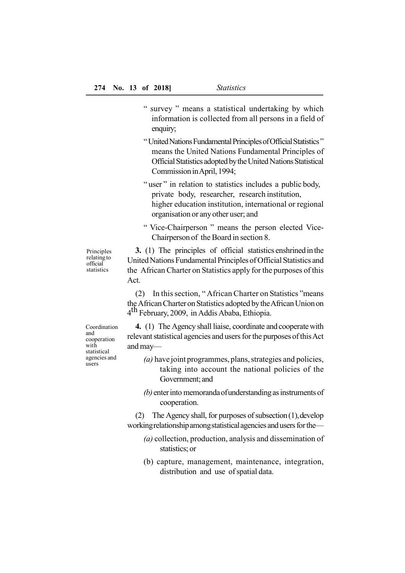- " survey " means a statistical undertaking by which information is collected from all persons in a field of enquiry;
- "United Nations Fundamental Principles of Official Statistics" means the United Nations Fundamental Principles of Official Statistics adopted by the United Nations Statistical Commission inApril, 1994;
- " user " in relation to statistics includes a public body, private body, researcher, research institution, higher education institution, international or regional organisation or anyother user; and
- " Vice-Chairperson " means the person elected Vice-Chairperson of the Board in section 8.

Principles relating to official statistics

**3.** (1) The principles of official statistics enshrined in the United Nations Fundamental Principles of Official Statistics and the African Charter on Statistics apply for the purposes of this Act.

(2) In this section, " African Charter on Statistics "means the African Charter on Statistics adopted by the African Union on 4 th February, 2009, in Addis Ababa, Ethiopia.

Coordination and cooperation with statistical agencies and users

**4.** (1) The Agency shall liaise, coordinate and cooperate with relevant statistical agencies and users for the purposes of thisAct and may—

- *(a)* have joint programmes, plans, strategies and policies, taking into account the national policies of the Government;and
- *(b)* enterinto memorandaofunderstandingas instruments of cooperation.

(2) The Agency shall, for purposes of subsection(1),develop workingrelationshipamongstatisticalagencies andusers for the—

- *(a)* collection, production, analysis and dissemination of statistics; or
- (b) capture, management, maintenance, integration, distribution and use of spatial data.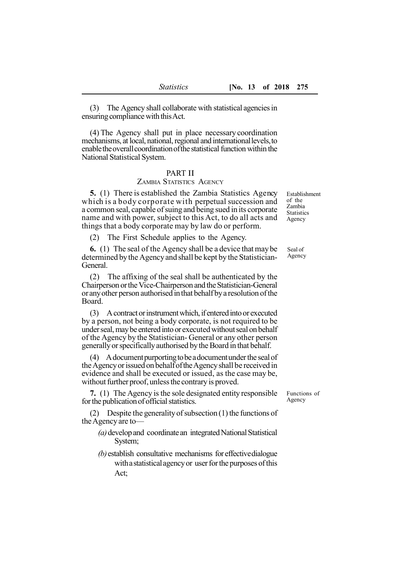(3) The Agency shall collaborate with statistical agencies in ensuring compliance with this Act.

(4) The Agency shall put in place necessary coordination mechanisms, at local, national, regional and internationallevels,to enable the overall coordination of the statistical function within the National Statistical System.

#### PART II

#### ZAMBIA STATISTICS AGENCY

**5.** (1) There is established the Zambia Statistics Agency which is a body corporate with perpetual succession and a common seal, capable of suing and being sued in its corporate name and with power, subject to this Act, to do all acts and things that a body corporate may by law do or perform.

(2) The First Schedule applies to the Agency.

**6.** (1) The seal of the Agency shall be a device that maybe determined bythe Agencyand shall be kept by the Statistician-General.

(2) The affixing of the seal shall be authenticated by the Chairperson orthe Vice-Chairperson and the Statistician-General oranyother person authorised inthat behalf bya resolution of the Board.

(3) A contract or instrument which, if entered into or executed by a person, not being a body corporate, is not required to be under seal, may be entered into or executed without seal on behalf of the Agency by the Statistician- General or any other person generallyor specificallyauthorised bythe Board in that behalf.

(4) Adocumentpurportingtobeadocumentunder the sealof the Agencyor issued on behalfoftheAgencyshall be received in evidence and shall be executed or issued, as the case may be, without further proof, unless the contrary is proved.

**7.** (1) The Agency is the sole designated entity responsible for the publication of official statistics.

(2) Despite the generalityof subsection (1) the functions of theAgency are to—

- *(a)* develop and coordinate an integrated National Statistical System;
- *(b)*establish consultative mechanisms foreffectivedialogue withastatisticalagencyor user for the purposes of this Act;

Establishment of the Zambia **Statistics** Agency

Seal of Agency

Functions of Agency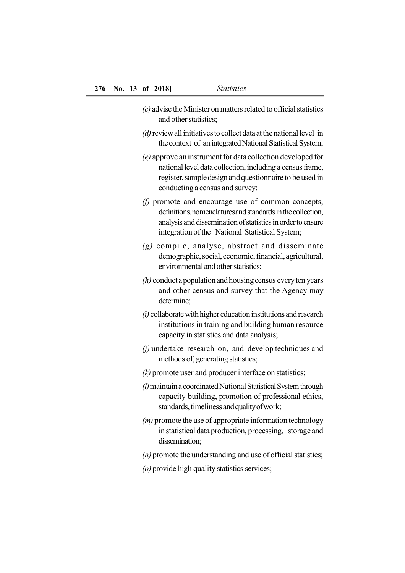- *(c)* advise the Minister on matters related to official statistics and other statistics;
- *(d)* review all initiatives to collect data at the national level in the context of an integrated National Statistical System;
- *(e)* approve an instrument for datacollection developed for national level data collection, including a census frame, register, sample design and questionnaire to be used in conducting a census and survey;
- *(f)* promote and encourage use of common concepts, definitions, nomenclatures and standards in the collection, analysis and dissemination of statistics in order to ensure integration of the National Statistical System;
- *(g)* compile, analyse, abstract and disseminate demographic, social, economic, financial, agricultural, environmental andother statistics;
- $(h)$  conduct a population and housing census every ten years and other census and survey that the Agency may determine;
- $(i)$  collaborate with higher education institutions and research institutions in training and building human resource capacity in statistics and data analysis;
- *(j)* undertake research on, and develop techniques and methods of, generating statistics;
- *(k)* promote user and producer interface on statistics;
- *(l)* maintain a coordinated National Statistical System through capacity building, promotion of professional ethics, standards, timeliness and quality of work;
- *(m)* promote the use of appropriate information technology in statistical data production, processing, storage and dissemination;
- *(n)* promote the understanding and use of official statistics;
- *(o)* provide high quality statistics services;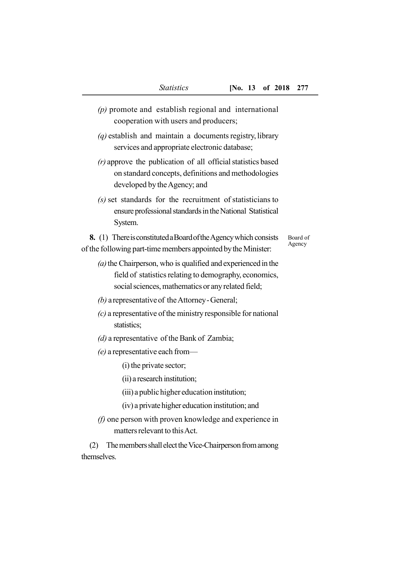- *(p)* promote and establish regional and international cooperation with users and producers;
- *(q)* establish and maintain a documents registry, library services and appropriate electronic database;
- *(r)* approve the publication of all official statistics based on standard concepts, definitions and methodologies developed by the Agency; and
- *(s)* set standards for the recruitment of statisticians to ensure professional standards in the National Statistical System.

**8.** (1) ThereisconstitutedaBoardoftheAgencywhich consists of the following part-time members appointed bythe Minister: Board of Agency

- *(a)*the Chairperson, who is qualified and experienced in the field of statistics relating to demography, economics, social sciences, mathematics or anyrelated field;
- *(b)* a representative of the Attorney General;
- *(c)* a representative of the ministry responsible for national statistics;
- *(d)* a representative of the Bank of Zambia;
- *(e)* a representative each from—
	- (i) the private sector;
	- (ii) a research institution;
	- (iii) a public higher education institution;
	- (iv) a privatehigher education institution; and
- *(f)* one person with proven knowledge and experience in matters relevant to this Act.

(2) The members shall elect the Vice-Chairperson from among themselves.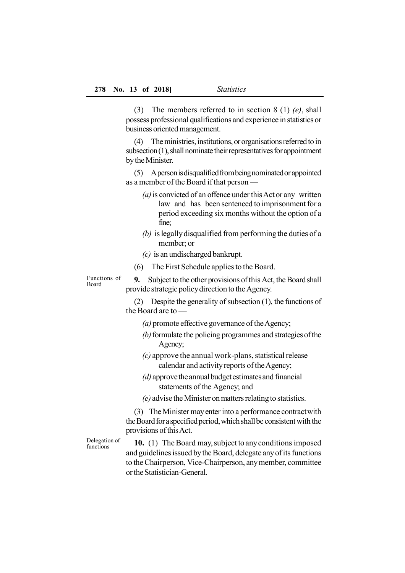(3) The members referred to in section 8 (1) *(e)*, shall possess professional qualifications and experience in statistics or business oriented management.

(4) The ministries, institutions, ororganisations referredto in  $subsection(1)$ , shall nominate their representatives for appointment bythe Minister.

(5) Apersonisdisqualifiedfrombeingnominatedorappointed as a member of the Board if that person —

- *(a)*is convicted of an offence under thisAct or any written law and has been sentenced to imprisonment for a period exceeding six months without the option of a fine;
- *(b)* is legallydisqualified from performing the duties of a member; or
- *(c)* is an undischarged bankrupt.
- (6) The First Schedule applies to the Board.

Functions of Board

**9.** Subject to the other provisions of this Act, the Boardshall provide strategic policydirection to the Agency.

(2) Despite the generality of subsection (1), the functions of the Board are to —

- *(a)* promote effective governance of the Agency;
- *(b)* formulate the policing programmes and strategies of the Agency;
- *(c)* approve the annual work-plans, statistical release calendar and activity reports of the Agency;
- *(d)* approve the annual budget estimates and financial statements of the Agency; and
- *(e)* advise the Minister on matters relating to statistics.

(3) The Minister mayenter into a performance contractwith the Board for a specified period, which shall be consistent with the provisions of thisAct.

Delegation of functions

**10.** (1) The Board may, subject to anyconditions imposed and guidelines issued bythe Board, delegate anyof its functions to the Chairperson, Vice-Chairperson, anymember, committee or the Statistician-General.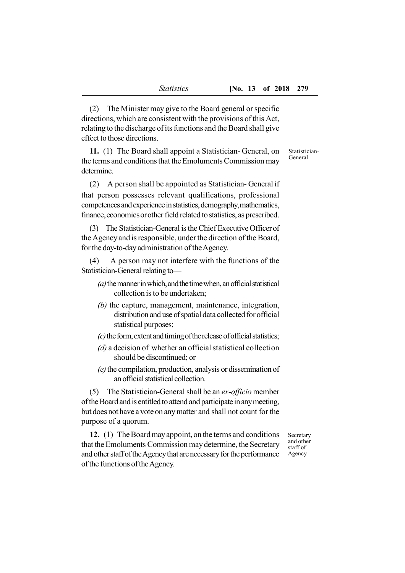(2) The Minister may give to the Board general or specific directions, which are consistent with the provisions of this Act, relating to the discharge of its functions and the Board shall give effect to those directions.

**11.** (1) The Board shall appoint a Statistician- General, on the terms and conditions that the Emoluments Commission may determine.

(2) A person shall be appointed as Statistician- General if that person possesses relevant qualifications, professional competences and experience in statistics, demography, mathematics, finance, economics or other field related to statistics, as prescribed.

(3) The Statistician-General is the Chief Executive Officerof the Agencyand is responsible, under the direction of the Board, for the day-to-day administration of the Agency.

(4) A person may not interfere with the functions of the Statistician-General relating to—

- $(a)$  the manner in which, and the time when, an official statistical collection is to be undertaken;
- *(b)* the capture, management, maintenance, integration, distribution and use of spatial data collected for official statistical purposes;
- $(c)$  the form, extent and timing of the release of official statistics;
- *(d)* a decision of whether an official statistical collection should be discontinued; or
- *(e)*the compilation, production, analysis or dissemination of an official statistical collection.

(5) The Statistician-General shall be an *ex-officio* member of the Board and is entitled to attend and participate in any meeting, but does not have a vote on any matter and shall not count for the purpose of a quorum.

**12.** (1) The Board mayappoint, on the terms and conditions that the Emoluments Commission maydetermine, the Secretary and other staff of the Agency that are necessary for the performance of the functions of theAgency.

Secretary and other staff of Agency

Statistician-General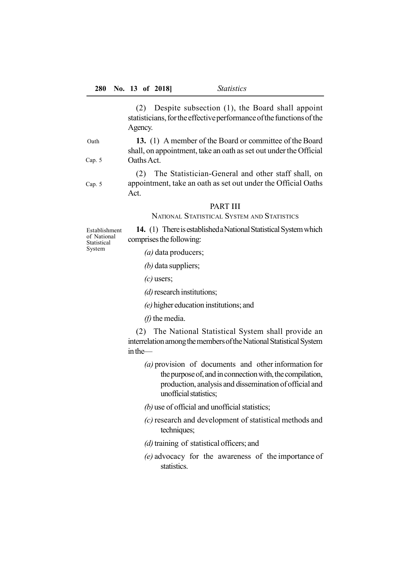(2) Despite subsection (1), the Board shall appoint statisticians, for the effective performance of the functions of the Agency.

**13.** (1) A member of the Board or committee of the Board shall, on appointment, take an oath as set out under the Official OathsAct.

(2) The Statistician-General and other staff shall, on appointment, take an oath as set out under the Official Oaths Act. Cap. 5

#### PART III

NATIONAL STATISTICAL SYSTEM AND STATISTICS

**14.** (1) There is established a National Statistical System which comprises the following:

*(a)* data producers;

*(b)* data suppliers;

*(c)* users;

*(d)*research institutions;

*(e)*higher education institutions; and

*(f)*the media.

(2) The National Statistical System shall provide an interrelation among the members of the National Statistical System in the—

*(a)* provision of documents and other information for the purpose of, and in connection with, the compilation, production, analysis and dissemination of official and unofficial statistics;

*(b)* use of official and unofficial statistics;

- *(c)* research and development of statistical methods and techniques;
- *(d)*training of statistical officers; and
- *(e)* advocacy for the awareness of the importance of statistics.

Establishment of National Statistical System

Oath

Cap. 5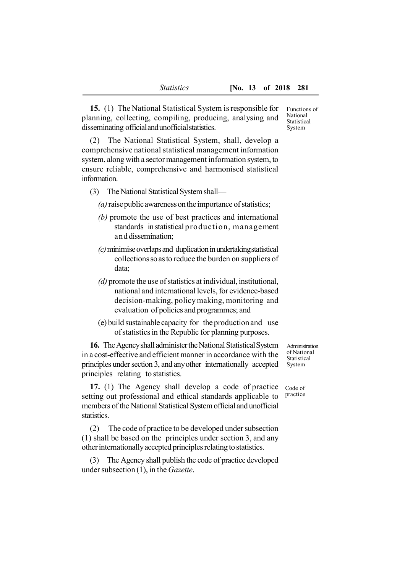**15.** (1) The National Statistical System is responsible for planning, collecting, compiling, producing, analysing and disseminating officialandunofficialstatistics.

(2) The National Statistical System, shall, develop a comprehensive national statistical management information system, along with a sector management information system, to ensure reliable, comprehensive and harmonised statistical information.

(3) The National Statistical System shall—

*(a)* raise public awareness on the importance of statistics;

- *(b)* promote the use of best practices and international standards in statistical production, management and dissemination;
- *(c)*minimiseoverlapsand duplicationinundertakingstatistical collectionssoas to reduce the burden on suppliers of data;
- *(d)* promote the use of statistics at individual, institutional, national and international levels, for evidence-based decision-making, policy making, monitoring and evaluation of policies and programmes; and
- (e) build sustainable capacity for the production and use of statistics in the Republic for planning purposes.

**16.** The Agency shall administer the National Statistical System in a cost-effective and efficient manner in accordance with the principles under section 3, and anyother internationally accepted principles relating to statistics.

**17.** (1) The Agency shall develop a code of practice setting out professional and ethical standards applicable to members of the National Statistical System official and unofficial statistics.

(2) The code of practice to be developed under subsection (1) shall be based on the principles under section 3, and any other internationallyaccepted principles relatingto statistics.

(3) The Agency shall publish the code of practice developed under subsection (1), in the *Gazette*.

Administration of National **Statistical** System

Code of practice

Functions of National Statistical System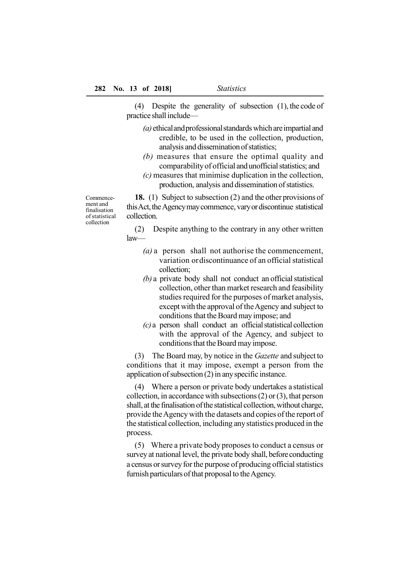(4) Despite the generality of subsection (1), the code of practice shall include—

- $(a)$  ethical and professional standards which are impartial and credible, to be used in the collection, production, analysis and dissemination of statistics:
- *(b)* measures that ensure the optimal quality and comparabilityof official andunofficial statistics; and
- *(c)* measures that minimise duplication in the collection, production, analysis and dissemination of statistics.

**18.** (1) Subject to subsection (2) and the other provisions of this Act, the Agency may commence, vary or discontinue statistical collection.

(2) Despite anything to the contrary in any other written law—

- *(a)* a person shall not authorise the commencement, variation ordiscontinuance of an official statistical collection;
- *(b)* a private body shall not conduct an official statistical collection, other than market research and feasibility studies required for the purposes of market analysis, except with the approval of the Agency and subject to conditions that the Board may impose; and
- *(c)* a person shall conduct an official statistical collection with the approval of the Agency, and subject to conditions that the Board may impose.

(3) The Board may, by notice in the *Gazette* and subject to conditions that it may impose, exempt a person from the application of subsection (2) in anyspecific instance.

(4) Where a person or private body undertakes a statistical collection, in accordance with subsections (2) or (3), that person shall, at the finalisation of the statistical collection, without charge, provide theAgency with the datasets and copies of the report of the statistical collection, including anystatistics produced in the process.

(5) Where a private body proposes to conduct a census or survey at national level, the private body shall, beforeconducting a census or survey for the purpose of producing official statistics furnish particulars of that proposal to the Agency.

Commencement and finalisation of statistical collection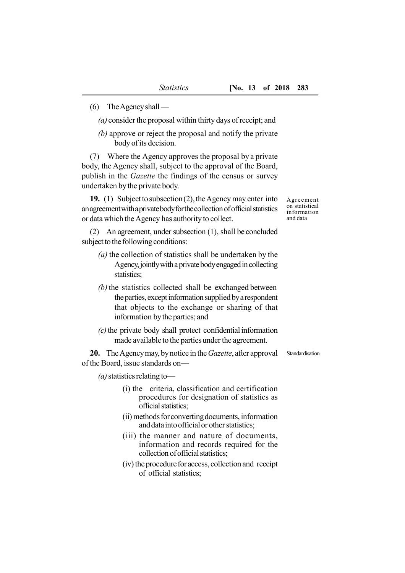(6) TheAgencyshall —

*(a)* consider the proposal within thirty days of receipt; and

*(b)* approve or reject the proposal and notify the private body of its decision.

(7) Where the Agency approves the proposal by a private body, the Agency shall, subject to the approval of the Board, publish in the *Gazette* the findings of the census or survey undertaken bythe private body.

**19.** (1) Subject to subsection (2), the Agency may enter into an agreement with a private body for the collection of official statistics or data which the Agency has authority to collect.

(2) An agreement, under subsection (1), shall be concluded subject to the following conditions:

- *(a)* the collection of statistics shall be undertaken by the Agency, jointly with a private body engaged in collecting statistics;
- *(b)*the statistics collected shall be exchanged between the parties, except information supplied by a respondent that objects to the exchange or sharing of that information bythe parties; and
- *(c)*the private body shall protect confidential information made available to the partiesunder the agreement.

**20.** The Agencymay, bynotice in the*Gazette*, after approval of the Board, issue standards on—

*(a)*statistics relating to—

- (i) the criteria, classification and certification procedures for designation of statistics as official statistics;
- (ii) methodsforconvertingdocuments, information and data into official or other statistics:
- (iii) the manner and nature of documents, information and records required for the collection of official statistics:
- (iv) the procedurefor access, collection and receipt of official statistics;

Agreement on statistical information and data

Standardisation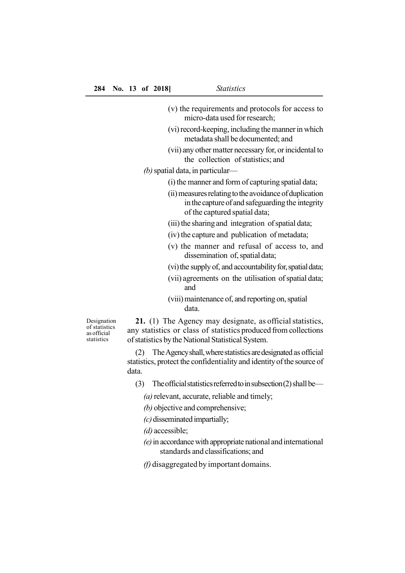- (v) the requirements and protocols for access to micro-data used for research;
- (vi) record-keeping, including the manner in which metadata shall be documented; and
- (vii) any other matter necessary for, or incidental to the collection of statistics; and

#### *(b)*spatial data, in particular—

- (i) the manner and form of capturing spatial data;
- (ii) measures relating to the avoidance of duplication inthecapture ofand safeguarding the integrity of the captured spatial data;
- (iii) the sharing and integration of spatial data;
- (iv) the capture and publication of metadata;
- (v) the manner and refusal of access to, and dissemination of, spatial data;
- (vi) the supply of, and accountability for, spatial data;
- (vii) agreements on the utilisation of spatial data; and
- (viii) maintenance of, and reporting on, spatial data.

Designation of statistics as official statistics

**21.** (1) The Agency may designate, as official statistics, any statistics or class of statistics produced from collections of statistics bythe National Statistical System.

(2) TheAgencyshall,wherestatisticsaredesignated as official statistics, protect the confidentiality and identityof the source of data.

(3) The official statistics referred to in subsection (2) shall be—

*(a)*relevant, accurate, reliable and timely;

*(b)* objective and comprehensive;

*(c)*disseminated impartially;

*(d)* accessible;

 $(e)$  in accordance with appropriate national and international standards and classifications; and

*(f)* disaggregated by important domains.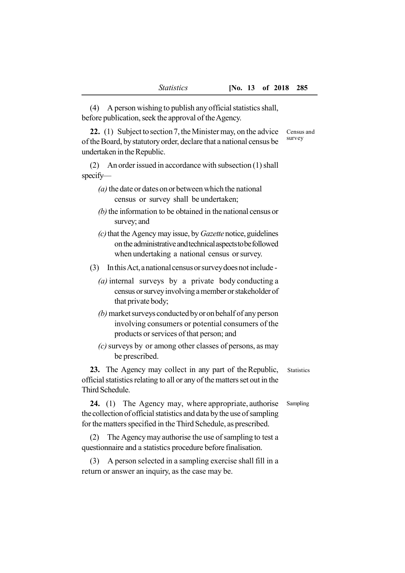(4) A person wishing to publish any official statistics shall, before publication, seek the approval of the Agency.

**22.** (1) Subject tosection7, the Minister may, on the advice of the Board, bystatutory order, declare that a national census be undertaken in the Republic. Census and survey

(2) An order issued in accordance with subsection (1) shall specify—

- *(a)* the date or dates on or between which the national census or survey shall be undertaken;
- *(b)*the information to be obtained in the national census or survey: and
- *(c)*that the Agency may issue, by *Gazette* notice, guidelines on the administrative and technical aspects to be followed when undertaking a national census or survey.
- (3) InthisAct,anationalcensusorsurveydoesnot include
	- *(a)* internal surveys by a private body conducting a census or surveyinvolving a member or stakeholder of that private body;
	- *(b)* market surveys conducted by or on behalf of any person involving consumers or potential consumers of the products or services of that person; and
	- *(c)*surveys by or among other classes of persons, as may be prescribed.

**23.** The Agency may collect in any part of the Republic, official statistics relating to all or any of the matters set out in the Third Schedule. **Statistics** 

**24.** (1) The Agency may, where appropriate, authorise the collection of official statistics and data bythe use of sampling for the matters specified in the Third Schedule, as prescribed. Sampling

(2) The Agency may authorise the use of sampling to test a questionnaire and a statistics procedure before finalisation.

(3) A person selected in a sampling exercise shall fill in a return or answer an inquiry, as the case may be.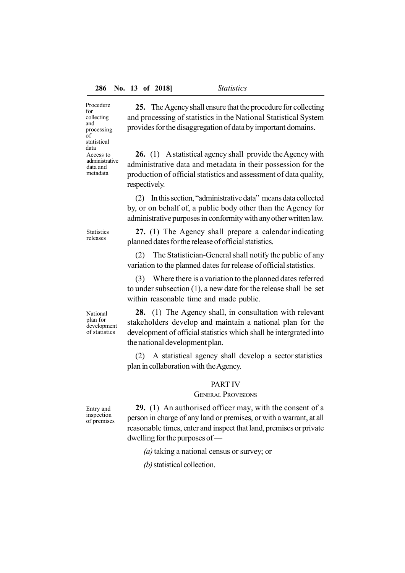Procedure for collecting and processing of statistical data Access to administrative data and metadata

**25.** The Agencyshall ensure that the procedure for collecting and processing of statistics in the National Statistical System provides for the disaggregation of data by important domains.

**26.** (1) A statistical agency shall provide the Agency with administrative data and metadata in their possession for the production of official statistics and assessment of data quality, respectively.

(2) In this section,"administrative data" meansdatacollected by, or on behalf of, a public body other than the Agency for administrative purposes in conformitywith anyother written law.

**Statistics** releases

**27.** (1) The Agency shall prepare a calendar indicating planned dates for the release of official statistics.

(2) The Statistician-General shall notify the public of any variation to the planned dates for release of official statistics.

(3) Where there is a variation to the planned dates referred to under subsection (1), a new date for the release shall be set within reasonable time and made public.

National plan for development of statistics

**28.** (1) The Agency shall, in consultation with relevant stakeholders develop and maintain a national plan for the development of official statistics which shall be intergrated into the national development plan.

(2) A statistical agency shall develop a sector statistics plan in collaboration with theAgency.

#### PART IV

#### GENERAL PROVISIONS

Entry and inspection of premises

**29.** (1) An authorised officer may, with the consent of a person in charge of any land or premises, or with a warrant, at all reasonable times, enter and inspect that land, premises or private dwelling for the purposes of —

*(a)*taking a national census or survey; or

*(b)*statistical collection.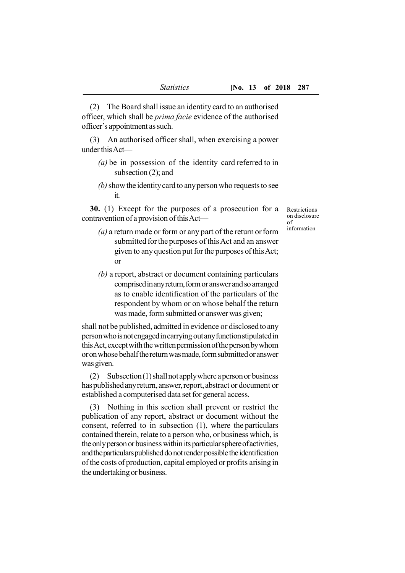(2) The Board shall issue an identity card to an authorised officer, which shall be *prima facie* evidence of the authorised officer's appointment as such.

(3) An authorised officer shall, when exercising a power under thisAct—

- *(a)* be in possession of the identity card referred to in subsection (2); and
- *(b)*show the identitycard to anyperson who requests to see it.

**30.** (1) Except for the purposes of a prosecution for a contravention of a provision of this Act—

Restrictions on disclosure of information

- *(a)* a return made or form or any part of the return or form submitted for the purposes of this Act and an answer given to any question put for the purposes of thisAct; or
- *(b)* a report, abstract or document containing particulars comprised in any return, form or answer and so arranged as to enable identification of the particulars of the respondent by whom or on whose behalf the return was made, form submitted or answer was given;

shall not be published, admitted in evidence or disclosed to any personwhoisnotengagedincarryingoutanyfunctionstipulatedin this Act, except with the written permission of the person by whom oronwhose behalfthereturnwasmade,formsubmittedoranswer was given.

(2) Subsection  $(1)$  shall not apply where a person or business has published any return, answer, report, abstract or document or established a computerised data set for general access.

(3) Nothing in this section shall prevent or restrict the publication of any report, abstract or document without the consent, referred to in subsection (1), where the particulars contained therein, relate to a person who, or business which, is the only person or business within its particular sphere of activities, and the particulars published do not render possible the identification of the costs of production, capital employed or profits arising in the undertaking or business.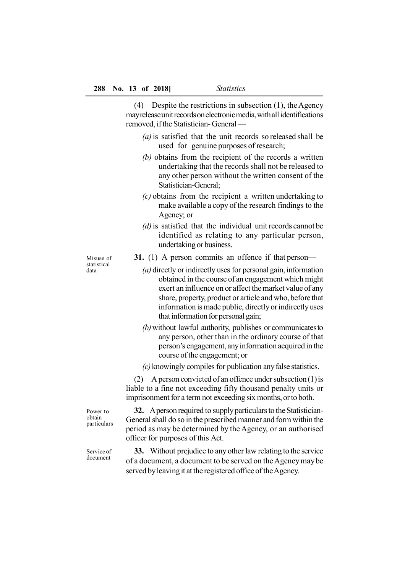(4) Despite the restrictions in subsection (1), the Agency may release unit records on electronic media, with all identifications removed, if the Statistician- General —

- *(a)*is satisfied that the unit records so released shall be used for genuine purposes of research;
- *(b)* obtains from the recipient of the records a written undertaking that the records shall not be released to any other person without the written consent of the Statistician-General;
- *(c)* obtains from the recipient a written undertaking to make available a copy of the research findings to the Agency; or
- *(d)*is satisfied that the individual unit records cannot be identified as relating to any particular person, undertaking or business.

Misuse of statistical data

**31.** (1) A person commits an offence if that person—

- *(a)* directly or indirectly uses for personal gain, information obtained in the course of an engagement which might exert an influence on or affect the market value of any share, property, product or article and who, before that information is made public, directly or indirectly uses that information for personal gain;
- *(b)*without lawful authority, publishes or communicatesto any person, other than in the ordinary course of that person's engagement, anyinformation acquired in the course of the engagement; or
- *(c)* knowingly compiles for publication anyfalse statistics.

(2) A person convicted of an offence under subsection  $(1)$  is liable to a fine not exceeding fifty thousand penalty units or imprisonment for a term not exceeding six months, or to both.

**32.** Aperson required to supplyparticulars to the Statistician-General shall do so in the prescribed manner and form within the period as may be determined by the Agency, or an authorised officer for purposes of this Act.

**33.** Without prejudice to any other law relating to the service of a document, a document to be served on the Agency may be served by leaving it at the registered office of the Agency.

Power to obtain particulars

Service of document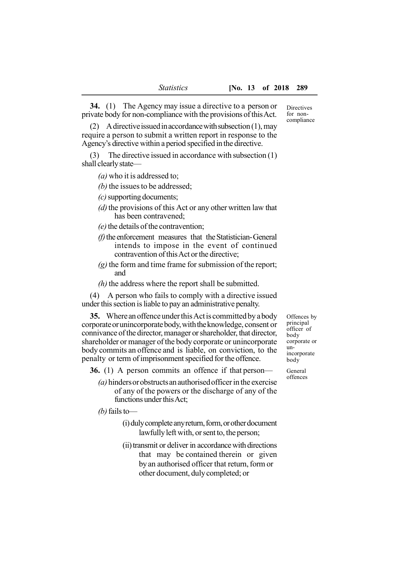**34.** (1) The Agency may issue a directive to a person or private body for non-compliance with the provisions of thisAct.

(2) A directive issued in accordance with subsection  $(1)$ , may require a person to submit a written report in response to the Agency's directive within a period specified in the directive.

(3) The directive issued in accordance with subsection (1) shall clearlystate—

- *(a)* who it is addressed to;
- *(b)* the issues to be addressed;
- *(c)*supporting documents;
- *(d)*the provisions of this Act or any other written law that has been contravened;
- *(e)*the details of the contravention;
- *(f)* the enforcement measures that the Statistician-General intends to impose in the event of continued contravention of this Act or the directive;
- *(g)* the form and time frame for submission of the report; and
- *(h)* the address where the report shall be submitted.

(4) A person who fails to comply with a directive issued under this section is liable to pay an administrative penalty.

**35.** Where an offence under this Act is committed by a body corporate or unincorporate body, with the knowledge, consent or connivance of the director, manager or shareholder, that director, shareholder or manager of the body corporate or unincorporate body commits an offence and is liable, on conviction, to the penalty or term of imprisonment specified for the offence.

**36.** (1) A person commits an offence if that person—

*(a)* hindersorobstructsanauthorisedofficer in the exercise of any of the powers or the discharge of any of the functions under this Act;

*(b)*fails to—

- (i)dulycompleteanyreturn,form,orotherdocument lawfully left with, or sent to, the person;
- (ii) transmit or deliver in accordance with directions that may be contained therein or given by an authorised officer that return, form or other document, dulycompleted; or

Offences by principal officer of body corporate or unincorporate body

General offences

**Directives** for noncompliance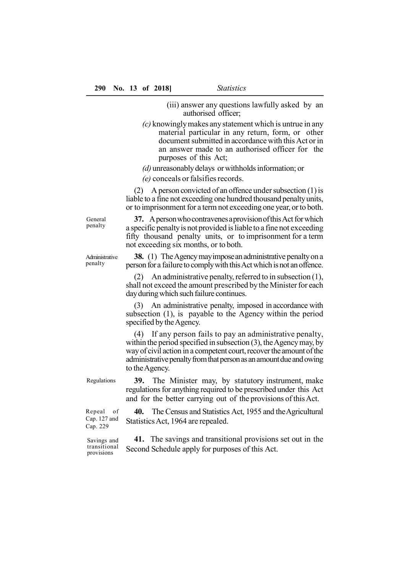- (iii) answer any questions lawfully asked by an authorised officer;
- *(c)* knowinglymakes anystatement which is untrue in any material particular in any return, form, or other document submitted in accordance with this Act or in an answer made to an authorised officer for the purposes of this Act;
- *(d)* unreasonablydelays or withholds information; or
- *(e)* conceals or falsifies records.

(2) A person convicted of an offence under subsection (1) is liable to a fine not exceeding one hundred thousand penaltyunits, or to imprisonment for a term not exceeding one year, or to both.

General penalty

Administrative penalty

**37.** ApersonwhocontravenesaprovisionofthisAct forwhich a specific penaltyis not provided is liable to a fine not exceeding fifty thousand penalty units, or to imprisonment for a term not exceeding six months, or to both.

**38.** (1) The Agency may impose an administrative penalty on a person for a failure to comply with this Act which is not an offence.

(2) An administrative penalty, referred to in subsection (1), shall not exceed the amount prescribed by the Minister for each dayduringwhich such failure continues.

(3) An administrative penalty, imposed in accordance with subsection (1), is payable to the Agency within the period specified by the Agency.

(4) If any person fails to pay an administrative penalty, within the period specified in subsection  $(3)$ , the Agency may, by way of civil action in a competent court, recover the amount of the administrative penalty from that person as an amount due and owing to the Agency.

Regulations

Repeal of Cap. 127 and Cap. 229

**39.** The Minister may, by statutory instrument, make regulations for anything required to be prescribed under this Act and for the better carrying out of the provisions of thisAct.

**40.** The Census and Statistics Act, 1955 and theAgricultural StatisticsAct, 1964 are repealed.

Savings and transitional provisions

**41.** The savings and transitional provisions set out in the Second Schedule apply for purposes of this Act.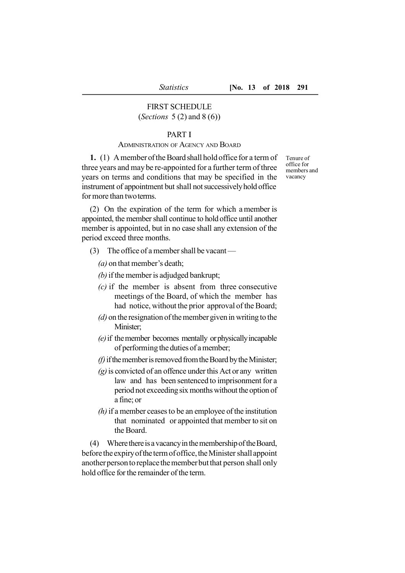#### FIRST SCHEDULE (*Sections* 5 (2) and 8 (6))

#### PART I

#### ADMINISTRATION OF AGENCY AND BOARD

**1.** (1) A member of the Board shall hold office for a term of three years and may be re-appointed for a further term of three years on terms and conditions that may be specified in the instrument of appointment but shall not successivelyhold office for more than twoterms.

(2) On the expiration of the term for which a member is appointed, the member shall continue to hold office until another member is appointed, but in no case shall any extension of the period exceed three months.

(3) The office of a member shall be vacant —

*(a)* on that member's death;

*(b)*if the member is adjudged bankrupt;

- *(c)* if the member is absent from three consecutive meetings of the Board, of which the member has had notice, without the prior approval of the Board;
- *(d)* on the resignation of the member given in writing to the Minister;
- *(e)*if themember becomes mentally orphysicallyincapable of performing the duties of a member;
- $(f)$  if the member is removed from the Board by the Minister;
- *(g)*is convicted of an offence under this Act or any written law and has been sentenced to imprisonment for a period not exceedingsix months without the option of a fine; or
- *(h)*if a member ceases to be an employee of the institution that nominated or appointed that member to sit on the Board.

(4) Where there is a vacancy in the membership of the Board, before the expiry of the term of office, the Minister shall appoint another person to replace the member but that person shall only hold office for the remainder of the term.

Tenure of office for members and vacancy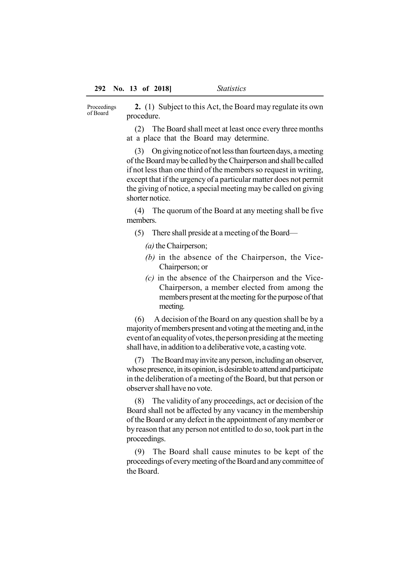Proceedings of Board

**2.** (1) Subject to this Act, the Board may regulate its own procedure.

(2) The Board shall meet at least once every three months at a place that the Board may determine.

(3) On givingnoticeofnot lessthan fourteen days, a meeting of the Board maybe called bythe Chairperson and shall becalled if not less than one third of the members so request in writing, except that if the urgency of a particular matter does not permit the giving of notice, a special meeting may be called on giving shorter notice.

(4) The quorum of the Board at any meeting shall be five members.

- (5) There shall preside at a meeting of the Board—
	- *(a)*the Chairperson;
	- *(b)* in the absence of the Chairperson, the Vice-Chairperson; or
	- *(c)* in the absence of the Chairperson and the Vice-Chairperson, a member elected from among the members present at the meeting for the purpose of that meeting.

(6) A decision of the Board on any question shall be by a majority of members present and voting at the meeting and, in the event of an equality of votes, the person presiding at the meeting shall have, in addition to a deliberative vote, a casting vote.

(7) The Board mayinvite anyperson, includingan observer, whose presence, in its opinion, is desirable to attend and participate in the deliberation of a meeting of the Board, but that person or observer shall have no vote.

(8) The validity of any proceedings, act or decision of the Board shall not be affected by any vacancy in the membership of the Board or any defect in the appointment of anymember or by reason that any person not entitled to do so, took part in the proceedings.

(9) The Board shall cause minutes to be kept of the proceedings of every meeting of the Board and anycommittee of the Board.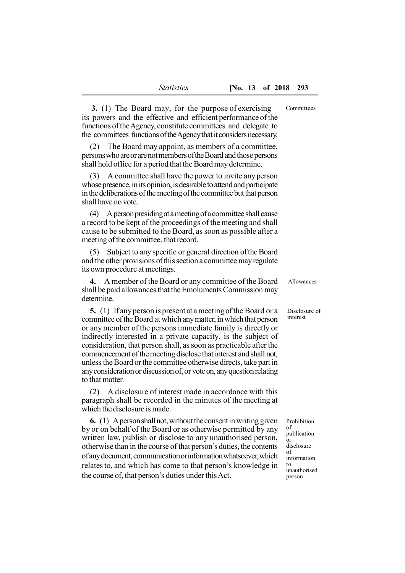Committees

**3.** (1) The Board may, for the purpose of exercising its powers and the effective and efficient performance of the functions of theAgency, constitute committees and delegate to the committees functions of the Agency that it considers necessary.

(2) The Board may appoint, as members of a committee, personswhoareorarenotmembersoftheBoard andthose persons shall hold office for a period that the Board maydetermine.

(3) A committee shall have the power to invite any person whose presence, in its opinion, is desirable to attend and participate in the deliberations of the meeting of the committee but that person shall have no vote.

(4) Apersonpresidingatameetingofacommitteeshall cause a record to be kept of the proceedings of the meeting and shall cause to be submitted to the Board, as soon as possible after a meeting of the committee, that record.

(5) Subject to any specific or general direction of the Board and the other provisions of this section a committee mayregulate its own procedure at meetings.

relates to, and which has come to that person's knowledge in

the course of, that person's duties under this Act.

| 4. A member of the Board or any committee of the Board<br>shall be paid allowances that the Emoluments Commission may<br>determine.                                                                                                                                                                                                                                                                                                                                                                                                                                              | Allowances                                                                |
|----------------------------------------------------------------------------------------------------------------------------------------------------------------------------------------------------------------------------------------------------------------------------------------------------------------------------------------------------------------------------------------------------------------------------------------------------------------------------------------------------------------------------------------------------------------------------------|---------------------------------------------------------------------------|
| 5. (1) If any person is present at a meeting of the Board or a<br>committee of the Board at which any matter, in which that person<br>or any member of the persons immediate family is directly or<br>indirectly interested in a private capacity, is the subject of<br>consideration, that person shall, as soon as practicable after the<br>commencement of the meeting disclose that interest and shall not,<br>unless the Board or the committee otherwise directs, take part in<br>any consideration or discussion of, or vote on, any question relating<br>to that matter. | Disclosure of<br>interest                                                 |
| A disclosure of interest made in accordance with this<br>(2)<br>paragraph shall be recorded in the minutes of the meeting at<br>which the disclosure is made.                                                                                                                                                                                                                                                                                                                                                                                                                    |                                                                           |
| <b>6.</b> (1) A person shall not, without the consent in writing given<br>by or on behalf of the Board or as otherwise permitted by any<br>written law, publish or disclose to any unauthorised person,<br>otherwise than in the course of that person's duties, the contents<br>of any document, communication or information whatsoever, which                                                                                                                                                                                                                                 | Prohibition<br>of<br>publication<br>or<br>disclosure<br>of<br>information |

information to unauthorised person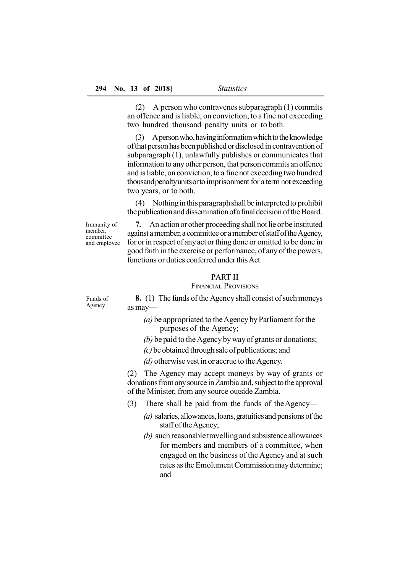(2) A person who contravenes subparagraph (1) commits an offence and is liable, on conviction, to a fine not exceeding two hundred thousand penalty units or to both.

(3) Apersonwho,havinginformationwhichtotheknowledge ofthat personhas beenpublished or disclosed in contravention of subparagraph (1), unlawfully publishes or communicates that information to any other person, that person commits an offence and is liable, on conviction, to a finenotexceedingtwohundred thousand penalty units or to imprisonment for a term not exceeding two years, or to both.

 $(4)$  Nothing in this paragraph shall be interpreted to prohibit thepublicationanddisseminationofafinaldecision of the Board.

Immunity of member, committee and employee

**7.** An action or other proceedingshall not lie or be instituted against amember, acommittee or amemberofstaffoftheAgency, for or in respect of anyact or thing done or omitted to be done in good faith in the exercise or performance, of any of the powers, functions or duties conferred under this Act.

#### PART II

#### FINANCIAL PROVISIONS

Funds of Agency

**8.** (1) The funds of the Agency shall consist of such moneys as may—

- *(a)* be appropriated to theAgency by Parliament for the purposes of the Agency;
- *(b)* be paid to the Agency by way of grants or donations:
- *(c)* be obtained through sale of publications; and
- *(d)* otherwise vest in or accrue to the Agency.

(2) The Agency may accept moneys by way of grants or donations from any source in Zambia and, subject to the approval of the Minister, from any source outside Zambia.

- (3) There shall be paid from the funds of theAgency—
	- *(a)* salaries, allowances, loans, gratuities and pensions of the staff of the Agency;
	- *(b)* such reasonable travelling and subsistence allowances for members and members of a committee, when engaged on the business of the Agency and at such rates as the Emolument Commission maydetermine; and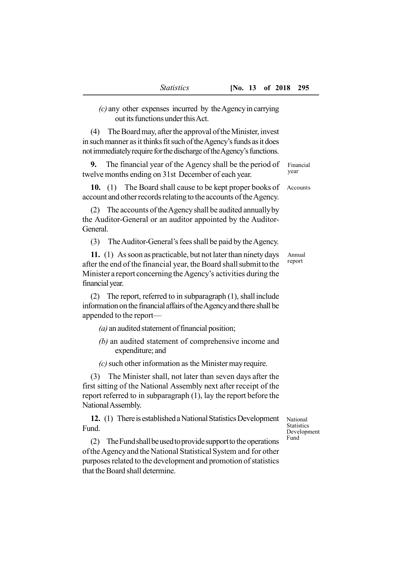*(c)* any other expenses incurred by theAgencyin carrying out its functions under thisAct.

(4) The Board may, after the approval of the Minister, invest in such manner as it thinks fit such of the Agency's funds as it does not immediately require for the discharge of the Agency's functions.

**9.** The financial year of the Agency shall be the period of twelve months ending on 31st December of each year. Financial year

**10.** (1) The Board shall cause to be kept proper books of account and other records relating to the accounts of the Agency. Accounts

(2) The accounts of theAgency shall be audited annuallyby the Auditor-General or an auditor appointed by the Auditor-General.

(3) TheAuditor-General's fees shall be paid by theAgency.

| 11. (1) As soon as practicable, but not later than ninety days<br>after the end of the financial year, the Board shall submit to the<br>Minister a report concerning the Agency's activities during the | Annual<br>report |
|---------------------------------------------------------------------------------------------------------------------------------------------------------------------------------------------------------|------------------|
| financial year.                                                                                                                                                                                         |                  |

(2) The report, referred to in subparagraph (1), shall include information on the financial affairs of the Agency and there shall be appended to the report—

*(a)* an audited statement of financial position;

*(b)* an audited statement of comprehensive income and expenditure; and

*(c)*such other information as the Minister mayrequire.

(3) The Minister shall, not later than seven days after the first sitting of the National Assembly next after receipt of the report referred to in subparagraph (1), lay the report before the National Assembly.

**12.** (1) There is established a National Statistics Development Fund.

National **Statistics** Development Fund

(2) TheFundshallbeusedtoprovidesupportto the operations of the Agencyand the National Statistical System and for other purposes related to the development and promotion of statistics that the Board shall determine.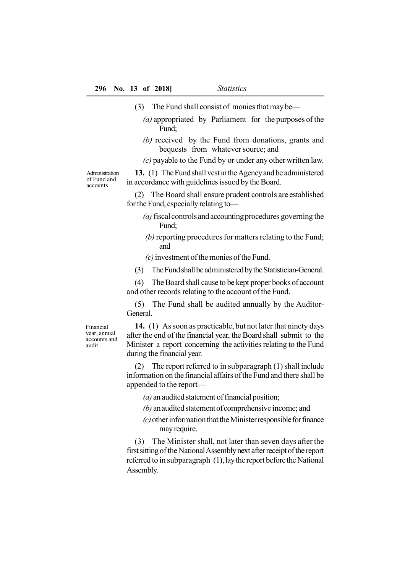- (3) The Fund shall consist of monies that maybe—
	- *(a)* appropriated by Parliament for the purposes of the Fund;
	- *(b)* received by the Fund from donations, grants and bequests from whatever source; and
	- *(c)* payable to the Fund by or under any other written law.

Administration of Fund and accounts

**13.** (1) The Fund shall vest in the Agency and be administered in accordance with guidelines issued by the Board.

(2) The Board shall ensure prudent controls are established for the Fund, especiallyrelating to—

- $(a)$  fiscal controls and accounting procedures governing the Fund;
- *(b)* reporting procedures for matters relating to the Fund; and
- *(c)*investment of the monies of the Fund.

(3) The Fund shall be administered by the Statistician-General.

(4) The Board shall cause to be kept proper books of account and other records relating to the account of the Fund.

(5) The Fund shall be audited annually by the Auditor-General.

Financial year, annual accounts and audit

**14.** (1) As soon as practicable, but not later that ninety days after the end of the financial year, the Board shall submit to the Minister a report concerning the activities relating to the Fund during the financial year.

(2) The report referred to in subparagraph (1) shall include information on the financial affairs of the Fund and there shall be appended to the report—

*(a)* an audited statement of financial position;

- *(b)* an audited statement of comprehensive income; and
- *(c)* other information that the Minister responsible for finance mayrequire.

(3) The Minister shall, not later than seven days after the first sitting of the National Assembly next after receipt of the report referred to in subparagraph (1), lay the report before the National Assembly.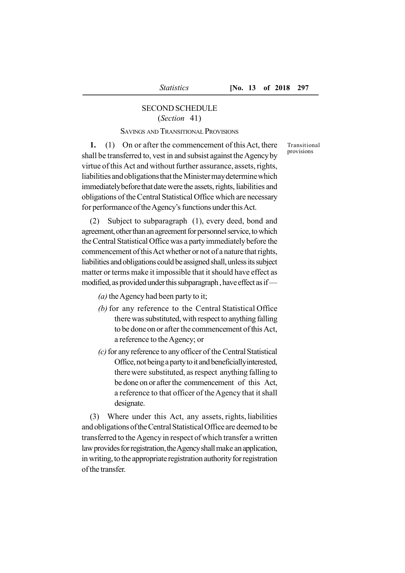## SECOND SCHEDULE (*Section* 41)

### SAVINGS AND TRANSITIONAL PROVISIONS

Transitional provisions

**1.** (1) On or after the commencement of thisAct, there shall be transferred to, vest in and subsist against the Agencyby virtue of this Act and without further assurance, assets, rights, liabilities and obligations that the Minister may determine which immediatelybeforethatdate were the assets, rights, liabilities and obligations of the Central Statistical Office which are necessary for performance of the Agency's functions under this Act.

(2) Subject to subparagraph (1), every deed, bond and agreement, other than an agreement for personnel service, to which the Central Statistical Office was a partyimmediately before the commencement of thisAct whether or not of a nature that rights, liabilities and obligations could be assigned shall, unless its subject matter or terms make it impossible that it should have effect as modified, as provided under this subparagraph, have effect as if —

*(a)* the Agency had been party to it;

- *(b)* for any reference to the Central Statistical Office there was substituted, with respect to anything falling to be done on or after the commencement of this Act, a reference to theAgency; or
- *(c)*for any reference to any officer of the Central Statistical Office, not being a party to it and beneficially interested, therewere substituted, as respect anything falling to be done on or after the commencement of this Act, a reference to that officer of theAgency that it shall designate.

(3) Where under this Act, any assets, rights, liabilities and obligations of the Central Statistical Office are deemed to be transferred to the Agency in respect of which transfer a written law provides for registration, the Agency shall make an application, in writing, to the appropriate registration authority for registration of the transfer.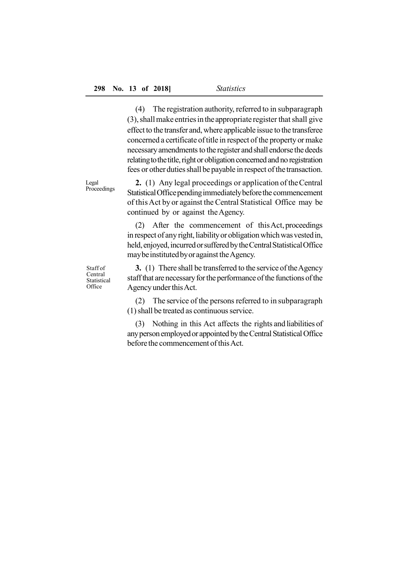(4) The registration authority, referred to in subparagraph (3), shall make entries in the appropriate register that shall give effect to the transfer and, where applicable issue to the transferee concerned a certificate of title in respect of the property or make necessary amendments to the register and shall endorse the deeds relating to the title, right or obligation concerned and no registration fees or other duties shall be payable in respect of the transaction.

Legal Proceedings

**2.** (1) Any legal proceedings or application of theCentral Statistical Office pending immediately before the commencement of this Act by or against the Central Statistical Office may be continued by or against theAgency.

(2) After the commencement of thisAct, proceedings in respect of any right, liability or obligation which was vested in, held, enjoyed, incurred or suffered by the Central Statistical Office may be instituted by or against the Agency.

Staff of Central Statistical **Office** 

**3.** (1) There shall be transferred to the service of the Agency staff that are necessary for the performance of the functions of the Agencyunder thisAct.

(2) The service of the persons referred to in subparagraph (1) shall be treated as continuous service.

(3) Nothing in this Act affects the rights and liabilities of anypersonemployedorappointed bytheCentral Statistical Office before the commencement of this Act.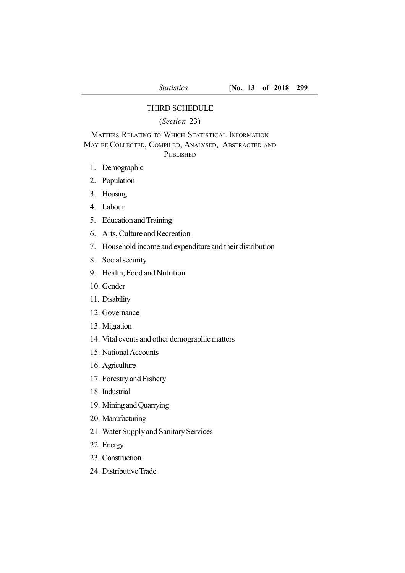#### THIRD SCHEDULE

### (*Section* 23)

MATTERS RELATING TO WHICH STATISTICAL INFORMATION MAY BE COLLECTED, COMPILED, ANALYSED, ABSTRACTED AND **PUBLISHED** 

- 1. Demographic
- 2. Population
- 3. Housing
- 4. Labour
- 5. Education and Training
- 6. Arts, Culture and Recreation
- 7. Household income and expenditure and their distribution
- 8. Social security
- 9. Health, Food and Nutrition
- 10. Gender
- 11. Disability
- 12. Governance
- 13. Migration
- 14. Vital events and other demographic matters
- 15. National Accounts
- 16. Agriculture
- 17. Forestry and Fishery
- 18. Industrial
- 19. Miningand Quarrying
- 20. Manufacturing
- 21. Water Supplyand Sanitary Services
- 22. Energy
- 23. Construction
- 24 Distributive Trade